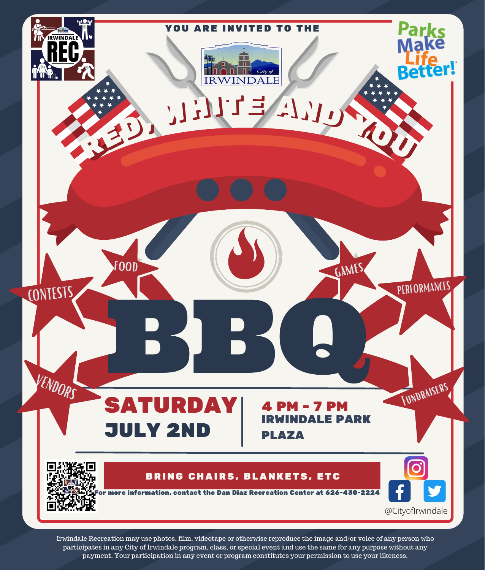

Irwindale Recreation may use photos, film, videotape or otherwise reproduce the image and/or voice of any person who participates in any City of Irwindale program, class, or special event and use the same for any purpose without any payment. Your participation in any event or program constitutes your permission to use your likeness.